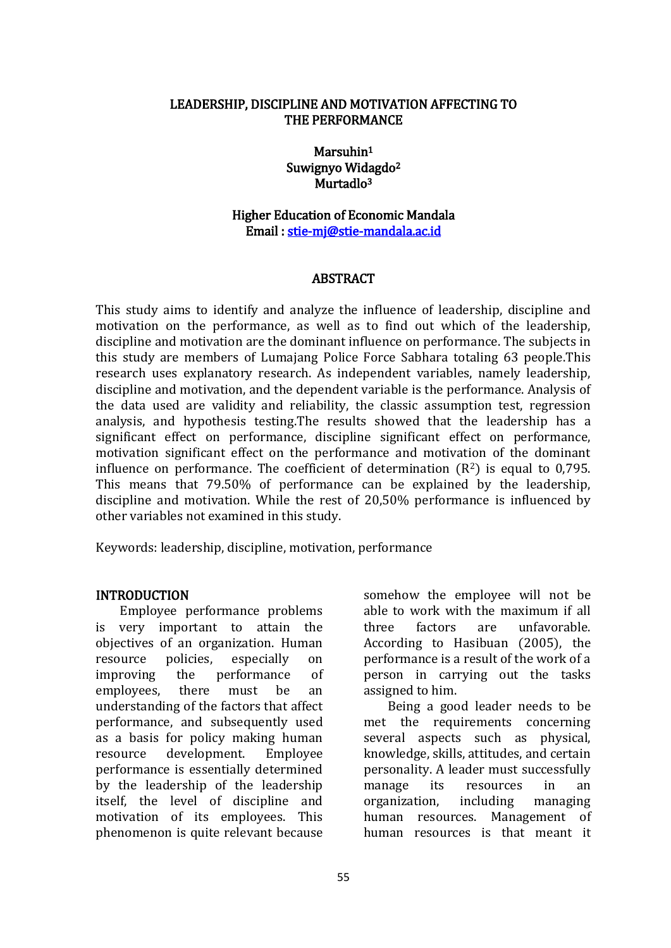#### LEADERSHIP, DISCIPLINE AND MOTIVATION AFFECTING TO THE PERFORMANCE

Marsuhin<sup>1</sup> Suwignyo Widagdo<sup>2</sup> Murtadlo<sup>3</sup>

### Higher Education of Economic Mandala Email : [stie-mj@stie-mandala.ac.id](mailto:stie-mj@stie-mandala.ac.id)

#### ABSTRACT

This study aims to identify and analyze the influence of leadership, discipline and motivation on the performance, as well as to find out which of the leadership, discipline and motivation are the dominant influence on performance. The subjects in this study are members of Lumajang Police Force Sabhara totaling 63 people.This research uses explanatory research. As independent variables, namely leadership, discipline and motivation, and the dependent variable is the performance. Analysis of the data used are validity and reliability, the classic assumption test, regression analysis, and hypothesis testing.The results showed that the leadership has a significant effect on performance, discipline significant effect on performance, motivation significant effect on the performance and motivation of the dominant influence on performance. The coefficient of determination  $(R^2)$  is equal to 0,795. This means that 79.50% of performance can be explained by the leadership, discipline and motivation. While the rest of 20,50% performance is influenced by other variables not examined in this study.

Keywords: leadership, discipline, motivation, performance

#### INTRODUCTION

Employee performance problems is very important to attain the objectives of an organization. Human resource policies, especially on improving the performance of employees, there must be an understanding of the factors that affect performance, and subsequently used as a basis for policy making human resource development. Employee performance is essentially determined by the leadership of the leadership itself, the level of discipline and motivation of its employees. This phenomenon is quite relevant because

somehow the employee will not be able to work with the maximum if all three factors are unfavorable. According to Hasibuan (2005), the performance is a result of the work of a person in carrying out the tasks assigned to him.

Being a good leader needs to be met the requirements concerning several aspects such as physical, knowledge, skills, attitudes, and certain personality. A leader must successfully manage its resources in an organization, including managing human resources. Management of human resources is that meant it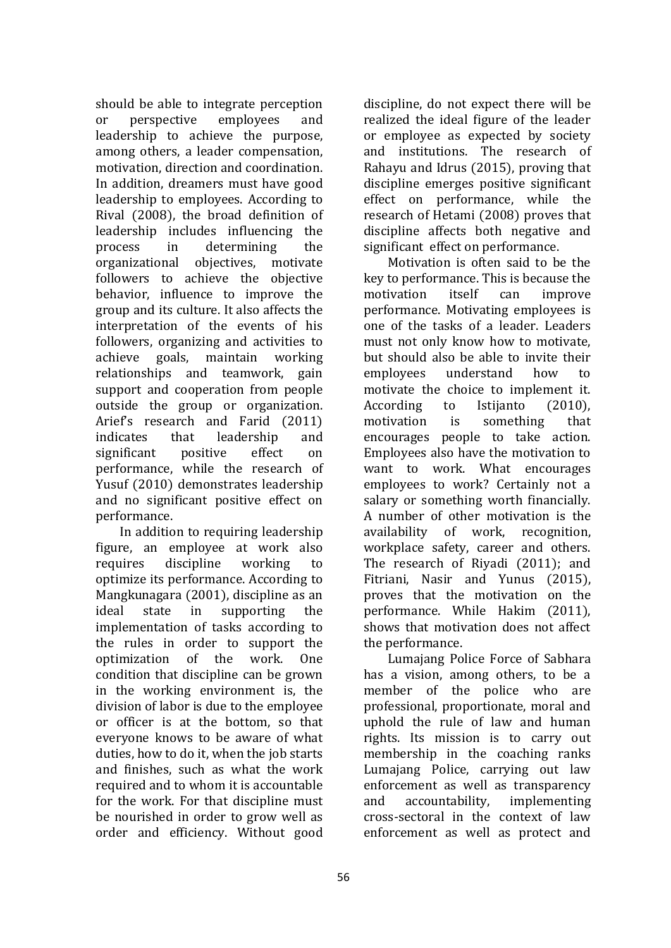should be able to integrate perception or perspective employees and leadership to achieve the purpose, among others, a leader compensation, motivation, direction and coordination. In addition, dreamers must have good leadership to employees. According to Rival (2008), the broad definition of leadership includes influencing the process in determining the organizational objectives, motivate followers to achieve the objective behavior, influence to improve the group and its culture. It also affects the interpretation of the events of his followers, organizing and activities to achieve goals, maintain working relationships and teamwork, gain support and cooperation from people outside the group or organization. Arief's research and Farid (2011) indicates that leadership and significant positive effect on performance, while the research of Yusuf (2010) demonstrates leadership and no significant positive effect on performance.

In addition to requiring leadership figure, an employee at work also requires discipline working to optimize its performance. According to Mangkunagara (2001), discipline as an ideal state in supporting the implementation of tasks according to the rules in order to support the optimization of the work. One condition that discipline can be grown in the working environment is, the division of labor is due to the employee or officer is at the bottom, so that everyone knows to be aware of what duties, how to do it, when the job starts and finishes, such as what the work required and to whom it is accountable for the work. For that discipline must be nourished in order to grow well as order and efficiency. Without good

discipline, do not expect there will be realized the ideal figure of the leader or employee as expected by society and institutions. The research of Rahayu and Idrus (2015), proving that discipline emerges positive significant effect on performance, while the research of Hetami (2008) proves that discipline affects both negative and significant effect on performance.

Motivation is often said to be the key to performance. This is because the motivation itself can improve performance. Motivating employees is one of the tasks of a leader. Leaders must not only know how to motivate, but should also be able to invite their employees understand how to motivate the choice to implement it. According to Istijanto (2010), motivation is something that encourages people to take action. Employees also have the motivation to want to work. What encourages employees to work? Certainly not a salary or something worth financially. A number of other motivation is the availability of work, recognition, workplace safety, career and others. The research of Riyadi (2011); and Fitriani, Nasir and Yunus (2015), proves that the motivation on the performance. While Hakim (2011), shows that motivation does not affect the performance.

Lumajang Police Force of Sabhara has a vision, among others, to be a member of the police who are professional, proportionate, moral and uphold the rule of law and human rights. Its mission is to carry out membership in the coaching ranks Lumajang Police, carrying out law enforcement as well as transparency and accountability, implementing cross-sectoral in the context of law enforcement as well as protect and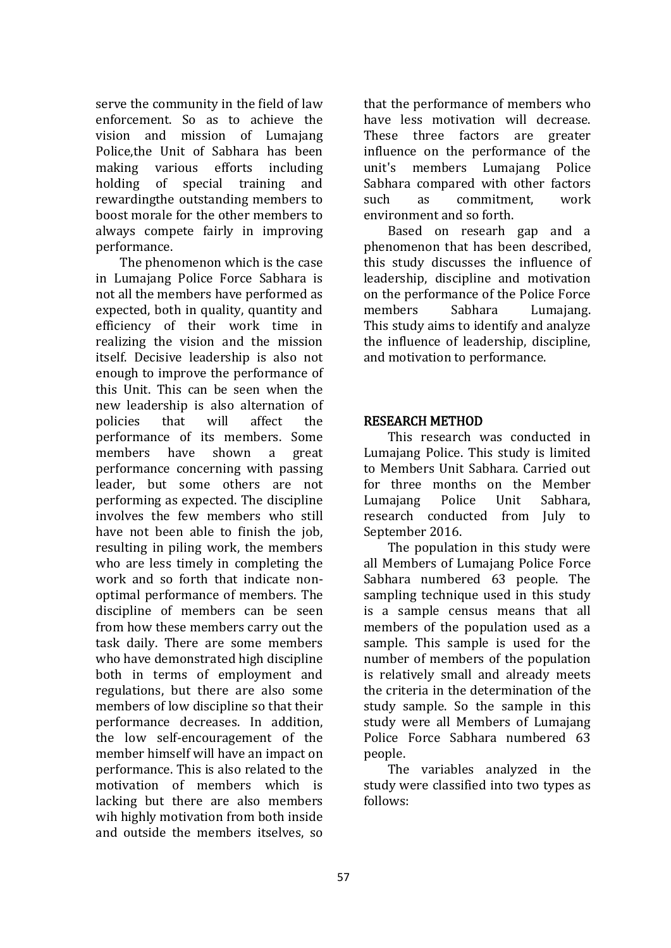serve the community in the field of law enforcement. So as to achieve the vision and mission of Lumajang Police,the Unit of Sabhara has been making various efforts including holding of special training and rewardingthe outstanding members to boost morale for the other members to always compete fairly in improving performance.

The phenomenon which is the case in Lumajang Police Force Sabhara is not all the members have performed as expected, both in quality, quantity and efficiency of their work time in realizing the vision and the mission itself. Decisive leadership is also not enough to improve the performance of this Unit. This can be seen when the new leadership is also alternation of policies that will affect the performance of its members. Some members have shown a great performance concerning with passing leader, but some others are not performing as expected. The discipline involves the few members who still have not been able to finish the job. resulting in piling work, the members who are less timely in completing the work and so forth that indicate nonoptimal performance of members. The discipline of members can be seen from how these members carry out the task daily. There are some members who have demonstrated high discipline both in terms of employment and regulations, but there are also some members of low discipline so that their performance decreases. In addition, the low self-encouragement of the member himself will have an impact on performance. This is also related to the motivation of members which is lacking but there are also members wih highly motivation from both inside and outside the members itselves, so

that the performance of members who have less motivation will decrease. These three factors are greater influence on the performance of the unit's members Lumajang Police Sabhara compared with other factors such as commitment, work environment and so forth.

Based on researh gap and a phenomenon that has been described, this study discusses the influence of leadership, discipline and motivation on the performance of the Police Force members Sabhara Lumajang. This study aims to identify and analyze the influence of leadership, discipline, and motivation to performance.

### RESEARCH METHOD

This research was conducted in Lumajang Police. This study is limited to Members Unit Sabhara. Carried out for three months on the Member Lumajang Police Unit Sabhara, research conducted from July to September 2016.

The population in this study were all Members of Lumajang Police Force Sabhara numbered 63 people. The sampling technique used in this study is a sample census means that all members of the population used as a sample. This sample is used for the number of members of the population is relatively small and already meets the criteria in the determination of the study sample. So the sample in this study were all Members of Lumajang Police Force Sabhara numbered 63 people.

The variables analyzed in the study were classified into two types as follows: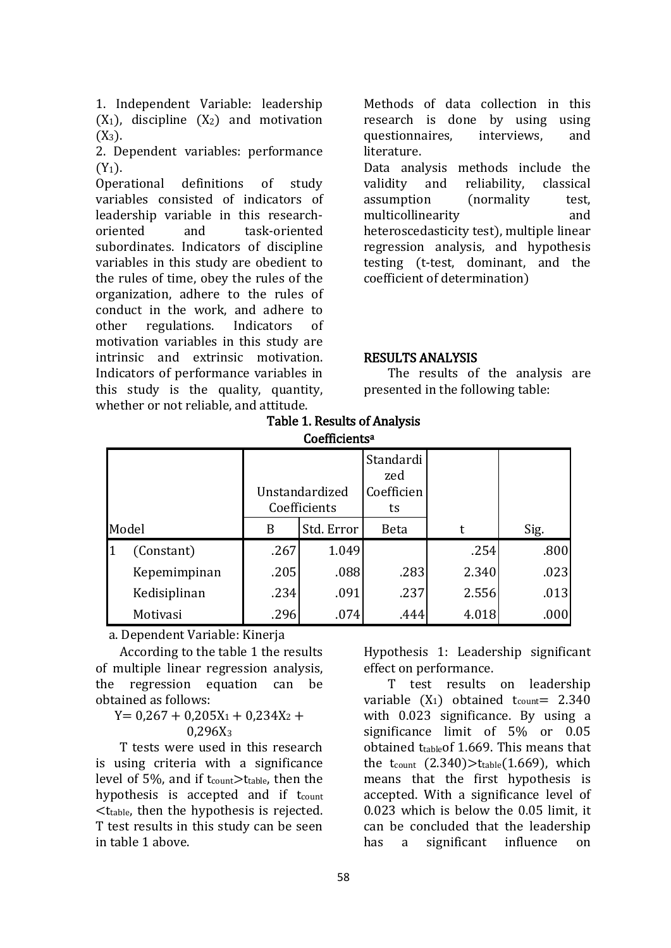1. Independent Variable: leadership  $(X_1)$ , discipline  $(X_2)$  and motivation  $(X_3)$ .

2. Dependent variables: performance  $(Y_1)$ .

Operational definitions of study variables consisted of indicators of leadership variable in this researchoriented and task-oriented subordinates. Indicators of discipline variables in this study are obedient to the rules of time, obey the rules of the organization, adhere to the rules of conduct in the work, and adhere to other regulations. Indicators of motivation variables in this study are intrinsic and extrinsic motivation. Indicators of performance variables in this study is the quality, quantity, whether or not reliable, and attitude.

Methods of data collection in this research is done by using using questionnaires, interviews, and literature. Data analysis methods include the validity and reliability, classical assumption (normality test, multicollinearity and heteroscedasticity test), multiple linear regression analysis, and hypothesis testing (t-test, dominant, and the coefficient of determination)

#### RESULTS ANALYSIS

The results of the analysis are presented in the following table:

#### Table 1. Results of Analysis Coefficients<sup>a</sup>

|       |              | Unstandardized<br>Coefficients |            | Standardi<br>zed<br>Coefficien<br>ts |       |      |  |  |  |
|-------|--------------|--------------------------------|------------|--------------------------------------|-------|------|--|--|--|
| Model |              | B                              | Std. Error | <b>Beta</b>                          | t     | Sig. |  |  |  |
| 11    | (Constant)   | .267                           | 1.049      |                                      | .254  | .800 |  |  |  |
|       | Kepemimpinan | .205                           | .088       | .283                                 | 2.340 | .023 |  |  |  |
|       | Kedisiplinan | .234                           | .091       | .237                                 | 2.556 | .013 |  |  |  |
|       | Motivasi     | .296                           | .074       | .444                                 | 4.018 | .000 |  |  |  |

a. Dependent Variable: Kinerja

According to the table 1 the results of multiple linear regression analysis, the regression equation can be obtained as follows:

 $Y= 0,267 + 0,205X_1 + 0,234X_2 +$  $0,296X_3$ 

T tests were used in this research is using criteria with a significance level of 5%, and if  $t_{\text{count}} > t_{\text{table}}$ , then the hypothesis is accepted and if t<sub>count</sub> <ttable, then the hypothesis is rejected. T test results in this study can be seen in table 1 above.

Hypothesis 1: Leadership significant effect on performance.

T test results on leadership variable  $(X_1)$  obtained t<sub>count</sub> = 2.340 with 0.023 significance. By using a significance limit of 5% or 0.05 obtained ttableof 1.669. This means that the t<sub>count</sub>  $(2.340)$ >t<sub>table</sub> $(1.669)$ , which means that the first hypothesis is accepted. With a significance level of 0.023 which is below the 0.05 limit, it can be concluded that the leadership has a significant influence on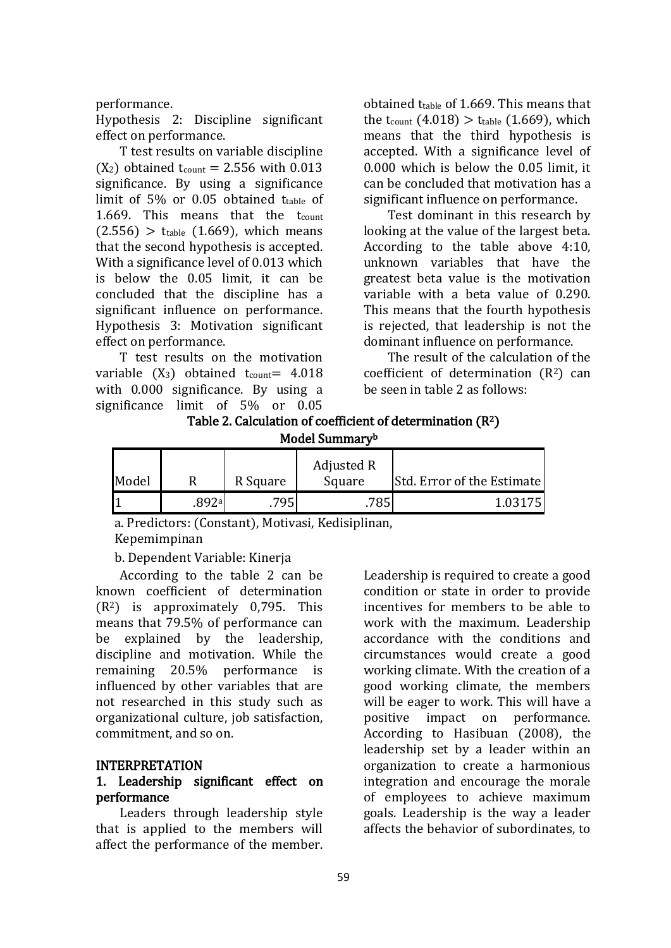#### performance.

Hypothesis 2: Discipline significant effect on performance.

T test results on variable discipline  $(X_2)$  obtained t<sub>count</sub> = 2.556 with 0.013 significance. By using a significance limit of 5% or 0.05 obtained ttable of 1.669. This means that the tcount  $(2.556)$  > ttable  $(1.669)$ , which means that the second hypothesis is accepted. With a significance level of 0.013 which is below the 0.05 limit, it can be concluded that the discipline has a significant influence on performance. Hypothesis 3: Motivation significant effect on performance.

T test results on the motivation variable  $(X_3)$  obtained t<sub>count</sub> = 4.018 with 0.000 significance. By using a significance limit of 5% or 0.05

obtained  $t_{table}$  of 1.669. This means that the t<sub>count</sub>  $(4.018) >$  t<sub>table</sub>  $(1.669)$ , which means that the third hypothesis is accepted. With a significance level of 0.000 which is below the 0.05 limit, it can be concluded that motivation has a significant influence on performance.

Test dominant in this research by looking at the value of the largest beta. According to the table above 4:10, unknown variables that have the greatest beta value is the motivation variable with a beta value of 0.290. This means that the fourth hypothesis is rejected, that leadership is not the dominant influence on performance.

The result of the calculation of the coefficient of determination  $(R^2)$  can be seen in table 2 as follows:

### Table 2. Calculation of coefficient of determination (R2) Model Summary<sup>b</sup>

| Model |       | R Square | Adjusted R<br>Square | <b>Std. Error of the Estimate</b> |
|-------|-------|----------|----------------------|-----------------------------------|
|       | .892ª | .795'    | 785                  | 1 03175                           |

a. Predictors: (Constant), Motivasi, Kedisiplinan,

Kepemimpinan

b. Dependent Variable: Kinerja

According to the table 2 can be known coefficient of determination  $(R<sup>2</sup>)$  is approximately 0,795. This means that 79.5% of performance can be explained by the leadership, discipline and motivation. While the remaining 20.5% performance is influenced by other variables that are not researched in this study such as organizational culture, job satisfaction, commitment, and so on.

#### INTERPRETATION

### 1. Leadership significant effect on performance

Leaders through leadership style that is applied to the members will affect the performance of the member.

Leadership is required to create a good condition or state in order to provide incentives for members to be able to work with the maximum. Leadership accordance with the conditions and circumstances would create a good working climate. With the creation of a good working climate, the members will be eager to work. This will have a positive impact on performance. According to Hasibuan (2008), the leadership set by a leader within an organization to create a harmonious integration and encourage the morale of employees to achieve maximum goals. Leadership is the way a leader affects the behavior of subordinates, to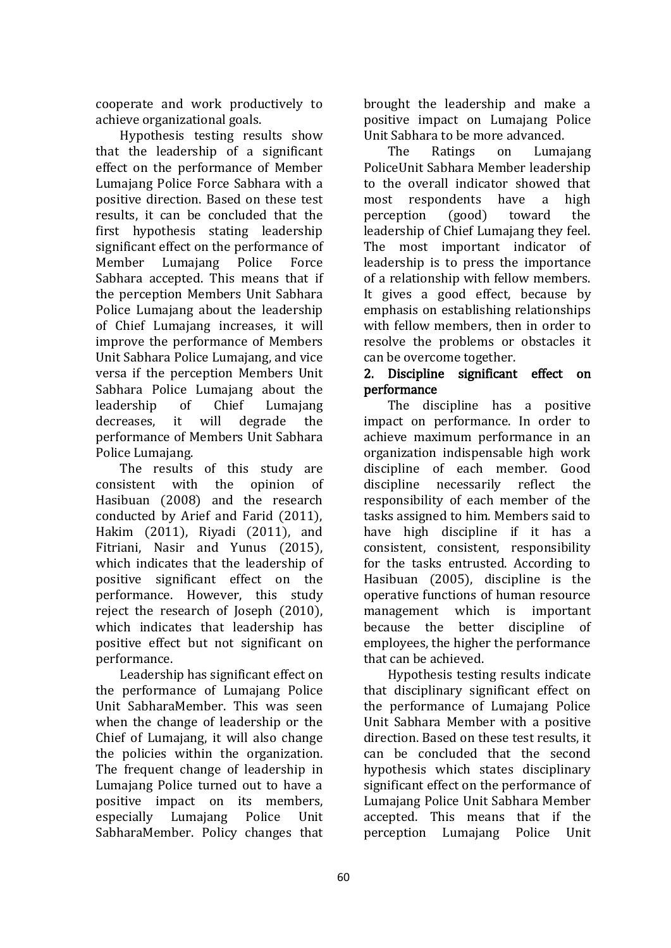cooperate and work productively to achieve organizational goals.

Hypothesis testing results show that the leadership of a significant effect on the performance of Member Lumajang Police Force Sabhara with a positive direction. Based on these test results, it can be concluded that the first hypothesis stating leadership significant effect on the performance of Member Lumajang Police Force Sabhara accepted. This means that if the perception Members Unit Sabhara Police Lumajang about the leadership of Chief Lumajang increases, it will improve the performance of Members Unit Sabhara Police Lumajang, and vice versa if the perception Members Unit Sabhara Police Lumajang about the leadership of Chief Lumajang decreases, it will degrade the performance of Members Unit Sabhara Police Lumajang.

The results of this study are consistent with the opinion of Hasibuan (2008) and the research conducted by Arief and Farid (2011), Hakim (2011), Riyadi (2011), and Fitriani, Nasir and Yunus (2015), which indicates that the leadership of positive significant effect on the performance. However, this study reject the research of Joseph (2010), which indicates that leadership has positive effect but not significant on performance.

Leadership has significant effect on the performance of Lumajang Police Unit SabharaMember. This was seen when the change of leadership or the Chief of Lumajang, it will also change the policies within the organization. The frequent change of leadership in Lumajang Police turned out to have a positive impact on its members, especially Lumajang Police Unit SabharaMember. Policy changes that

brought the leadership and make a positive impact on Lumajang Police Unit Sabhara to be more advanced.

The Ratings on Lumajang PoliceUnit Sabhara Member leadership to the overall indicator showed that most respondents have a high perception (good) toward the leadership of Chief Lumajang they feel. The most important indicator of leadership is to press the importance of a relationship with fellow members. It gives a good effect, because by emphasis on establishing relationships with fellow members, then in order to resolve the problems or obstacles it can be overcome together.

## 2. Discipline significant effect on performance

The discipline has a positive impact on performance. In order to achieve maximum performance in an organization indispensable high work discipline of each member. Good discipline necessarily reflect the responsibility of each member of the tasks assigned to him. Members said to have high discipline if it has a consistent, consistent, responsibility for the tasks entrusted. According to Hasibuan (2005), discipline is the operative functions of human resource management which is important because the better discipline of employees, the higher the performance that can be achieved.

Hypothesis testing results indicate that disciplinary significant effect on the performance of Lumajang Police Unit Sabhara Member with a positive direction. Based on these test results, it can be concluded that the second hypothesis which states disciplinary significant effect on the performance of Lumajang Police Unit Sabhara Member accepted. This means that if the perception Lumajang Police Unit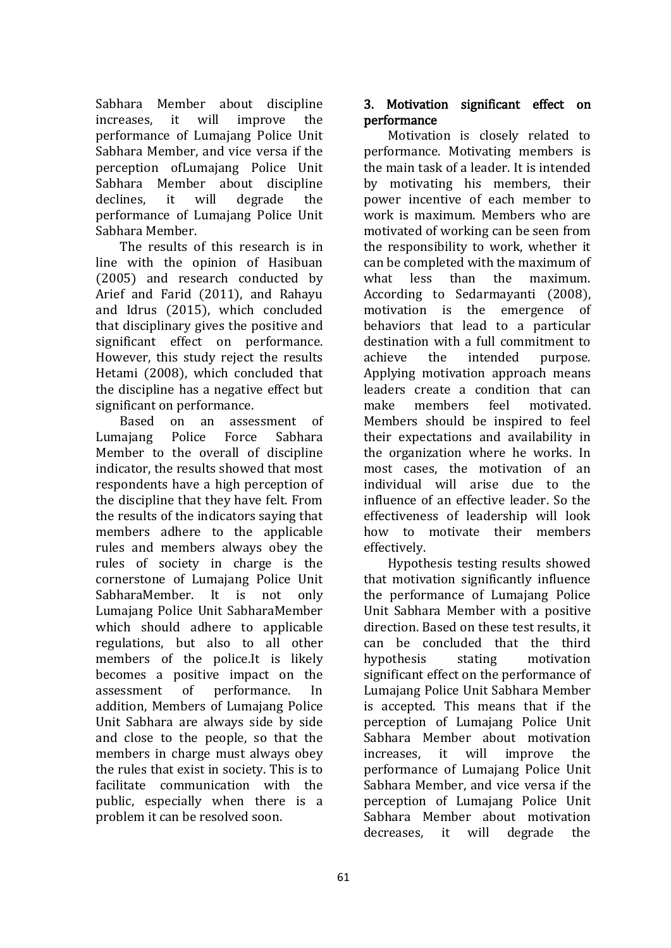Sabhara Member about discipline increases, it will improve the performance of Lumajang Police Unit Sabhara Member, and vice versa if the perception ofLumajang Police Unit Sabhara Member about discipline declines, it will degrade the performance of Lumajang Police Unit Sabhara Member.

The results of this research is in line with the opinion of Hasibuan (2005) and research conducted by Arief and Farid (2011), and Rahayu and Idrus (2015), which concluded that disciplinary gives the positive and significant effect on performance. However, this study reject the results Hetami (2008), which concluded that the discipline has a negative effect but significant on performance.

Based on an assessment of Lumajang Police Force Sabhara Member to the overall of discipline indicator, the results showed that most respondents have a high perception of the discipline that they have felt. From the results of the indicators saying that members adhere to the applicable rules and members always obey the rules of society in charge is the cornerstone of Lumajang Police Unit SabharaMember. It is not only Lumajang Police Unit SabharaMember which should adhere to applicable regulations, but also to all other members of the police.It is likely becomes a positive impact on the assessment of performance. In addition, Members of Lumajang Police Unit Sabhara are always side by side and close to the people, so that the members in charge must always obey the rules that exist in society. This is to facilitate communication with the public, especially when there is a problem it can be resolved soon.

## 3. Motivation significant effect on performance

Motivation is closely related to performance. Motivating members is the main task of a leader. It is intended by motivating his members, their power incentive of each member to work is maximum. Members who are motivated of working can be seen from the responsibility to work, whether it can be completed with the maximum of what less than the maximum. According to Sedarmayanti (2008), motivation is the emergence of behaviors that lead to a particular destination with a full commitment to achieve the intended purpose. Applying motivation approach means leaders create a condition that can make members feel motivated. Members should be inspired to feel their expectations and availability in the organization where he works. In most cases, the motivation of an individual will arise due to the influence of an effective leader. So the effectiveness of leadership will look how to motivate their members effectively.

Hypothesis testing results showed that motivation significantly influence the performance of Lumajang Police Unit Sabhara Member with a positive direction. Based on these test results, it can be concluded that the third hypothesis stating motivation significant effect on the performance of Lumajang Police Unit Sabhara Member is accepted. This means that if the perception of Lumajang Police Unit Sabhara Member about motivation increases, it will improve the performance of Lumajang Police Unit Sabhara Member, and vice versa if the perception of Lumajang Police Unit Sabhara Member about motivation decreases, it will degrade the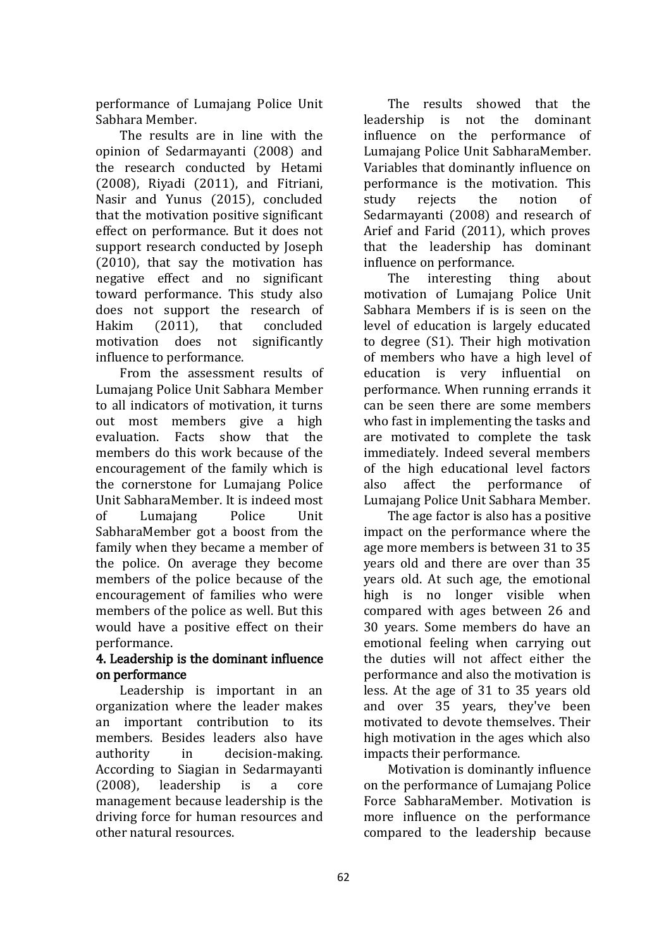performance of Lumajang Police Unit Sabhara Member.

The results are in line with the opinion of Sedarmayanti (2008) and the research conducted by Hetami (2008), Riyadi (2011), and Fitriani, Nasir and Yunus (2015), concluded that the motivation positive significant effect on performance. But it does not support research conducted by Joseph (2010), that say the motivation has negative effect and no significant toward performance. This study also does not support the research of Hakim (2011), that concluded motivation does not significantly influence to performance.

From the assessment results of Lumajang Police Unit Sabhara Member to all indicators of motivation, it turns out most members give a high evaluation. Facts show that the members do this work because of the encouragement of the family which is the cornerstone for Lumajang Police Unit SabharaMember. It is indeed most of Lumajang Police Unit SabharaMember got a boost from the family when they became a member of the police. On average they become members of the police because of the encouragement of families who were members of the police as well. But this would have a positive effect on their performance.

# 4. Leadership is the dominant influence on performance

Leadership is important in an organization where the leader makes an important contribution to its members. Besides leaders also have authority in decision-making. According to Siagian in Sedarmayanti (2008), leadership is a core management because leadership is the driving force for human resources and other natural resources.

The results showed that the leadership is not the dominant influence on the performance of Lumajang Police Unit SabharaMember. Variables that dominantly influence on performance is the motivation. This study rejects the notion of Sedarmayanti (2008) and research of Arief and Farid (2011), which proves that the leadership has dominant influence on performance.

The interesting thing about motivation of Lumajang Police Unit Sabhara Members if is is seen on the level of education is largely educated to degree (S1). Their high motivation of members who have a high level of education is very influential on performance. When running errands it can be seen there are some members who fast in implementing the tasks and are motivated to complete the task immediately. Indeed several members of the high educational level factors also affect the performance of Lumajang Police Unit Sabhara Member.

The age factor is also has a positive impact on the performance where the age more members is between 31 to 35 years old and there are over than 35 years old. At such age, the emotional high is no longer visible when compared with ages between 26 and 30 years. Some members do have an emotional feeling when carrying out the duties will not affect either the performance and also the motivation is less. At the age of 31 to 35 years old and over 35 years, they've been motivated to devote themselves. Their high motivation in the ages which also impacts their performance.

Motivation is dominantly influence on the performance of Lumajang Police Force SabharaMember. Motivation is more influence on the performance compared to the leadership because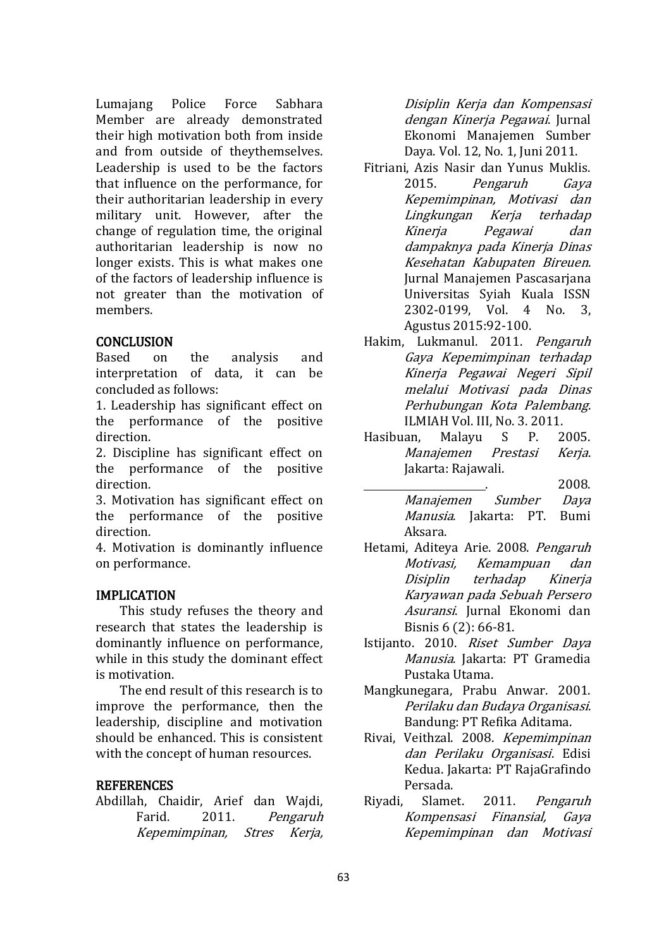Lumajang Police Force Sabhara Member are already demonstrated their high motivation both from inside and from outside of theythemselves. Leadership is used to be the factors that influence on the performance, for their authoritarian leadership in every military unit. However, after the change of regulation time, the original authoritarian leadership is now no longer exists. This is what makes one of the factors of leadership influence is not greater than the motivation of members.

### **CONCLUSION**

Based on the analysis and interpretation of data, it can be concluded as follows:

1. Leadership has significant effect on the performance of the positive direction.

2. Discipline has significant effect on the performance of the positive direction.

3. Motivation has significant effect on the performance of the positive direction.

4. Motivation is dominantly influence on performance.

#### IMPLICATION

This study refuses the theory and research that states the leadership is dominantly influence on performance, while in this study the dominant effect is motivation.

The end result of this research is to improve the performance, then the leadership, discipline and motivation should be enhanced. This is consistent with the concept of human resources.

#### **REFERENCES**

Abdillah, Chaidir, Arief dan Wajdi, Farid. 2011. Pengaruh Kepemimpinan, Stres Kerja,

Disiplin Kerja dan Kompensasi dengan Kinerja Pegawai. Jurnal Ekonomi Manajemen Sumber Daya. Vol. 12, No. 1, Juni 2011.

- Fitriani, Azis Nasir dan Yunus Muklis. 2015. Pengaruh Gaya Kepemimpinan, Motivasi dan Lingkungan Kerja terhadap Kinerja Pegawai dan dampaknya pada Kinerja Dinas Kesehatan Kabupaten Bireuen. Jurnal Manajemen Pascasarjana Universitas Syiah Kuala ISSN 2302-0199, Vol. 4 No. 3, Agustus 2015:92-100.
- Hakim, Lukmanul. 2011. Pengaruh Gaya Kepemimpinan terhadap Kinerja Pegawai Negeri Sipil melalui Motivasi pada Dinas Perhubungan Kota Palembang. ILMIAH Vol. III, No. 3. 2011.
- Hasibuan, Malayu S P. 2005. Manajemen Prestasi Kerja. Jakarta: Rajawali.
	- . 2008. Manajemen Sumber Daya Manusia. Jakarta: PT. Bumi Aksara.
- Hetami, Aditeya Arie. 2008. Pengaruh Motivasi, Kemampuan dan Disiplin terhadap Kinerja Karyawan pada Sebuah Persero Asuransi. Jurnal Ekonomi dan Bisnis 6 (2): 66-81.
- Istijanto. 2010. Riset Sumber Daya Manusia. Jakarta: PT Gramedia Pustaka Utama.
- Mangkunegara, Prabu Anwar. 2001. Perilaku dan Budaya Organisasi. Bandung: PT Refika Aditama.
- Rivai, Veithzal. 2008. Kepemimpinan dan Perilaku Organisasi. Edisi Kedua. Jakarta: PT RajaGrafindo Persada.
- Riyadi, Slamet. 2011. Pengaruh Kompensasi Finansial, Gaya Kepemimpinan dan Motivasi